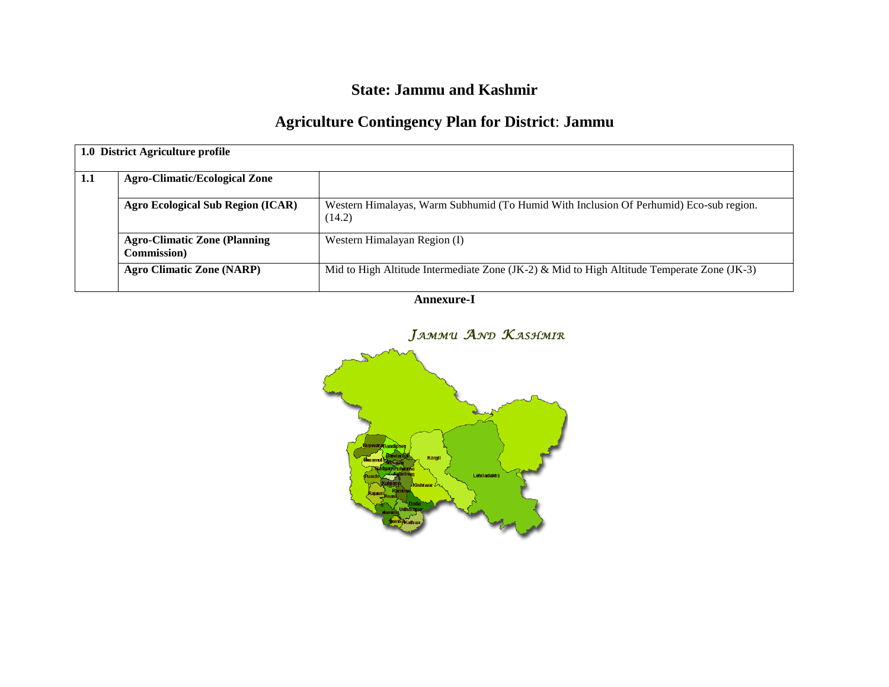## **State: Jammu and Kashmir**

# **Agriculture Contingency Plan for District**: **Jammu**

| 1.0 District Agriculture profile |                                                            |                                                                                                  |  |  |  |  |
|----------------------------------|------------------------------------------------------------|--------------------------------------------------------------------------------------------------|--|--|--|--|
| 1.1                              | <b>Agro-Climatic/Ecological Zone</b>                       |                                                                                                  |  |  |  |  |
|                                  | <b>Agro Ecological Sub Region (ICAR)</b>                   | Western Himalayas, Warm Subhumid (To Humid With Inclusion Of Perhumid) Eco-sub region.<br>(14.2) |  |  |  |  |
|                                  | <b>Agro-Climatic Zone (Planning</b><br><b>Commission</b> ) | Western Himalayan Region (I)                                                                     |  |  |  |  |
|                                  | <b>Agro Climatic Zone (NARP)</b>                           | Mid to High Altitude Intermediate Zone (JK-2) & Mid to High Altitude Temperate Zone (JK-3)       |  |  |  |  |

**Annexure-I**



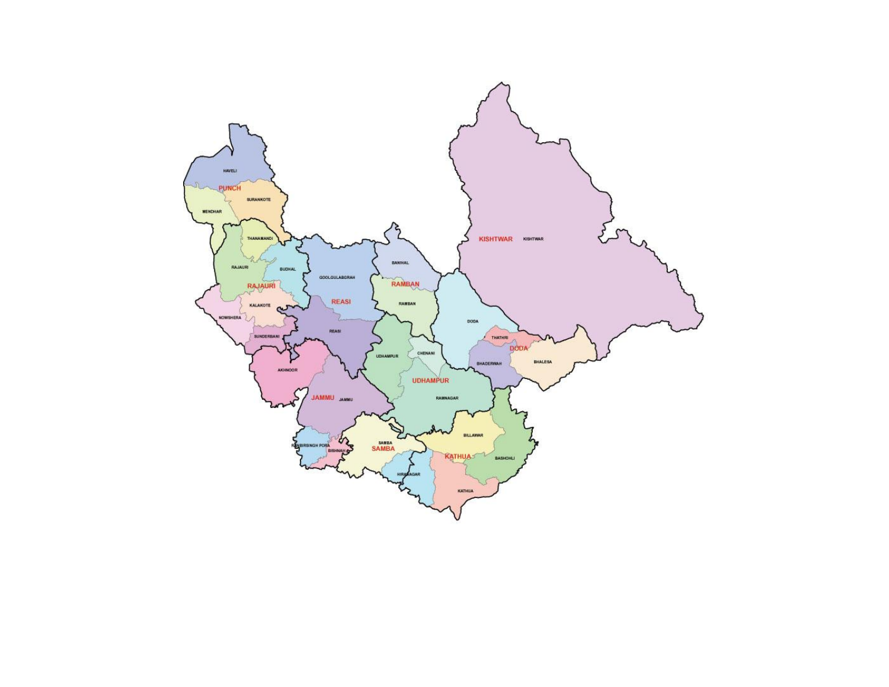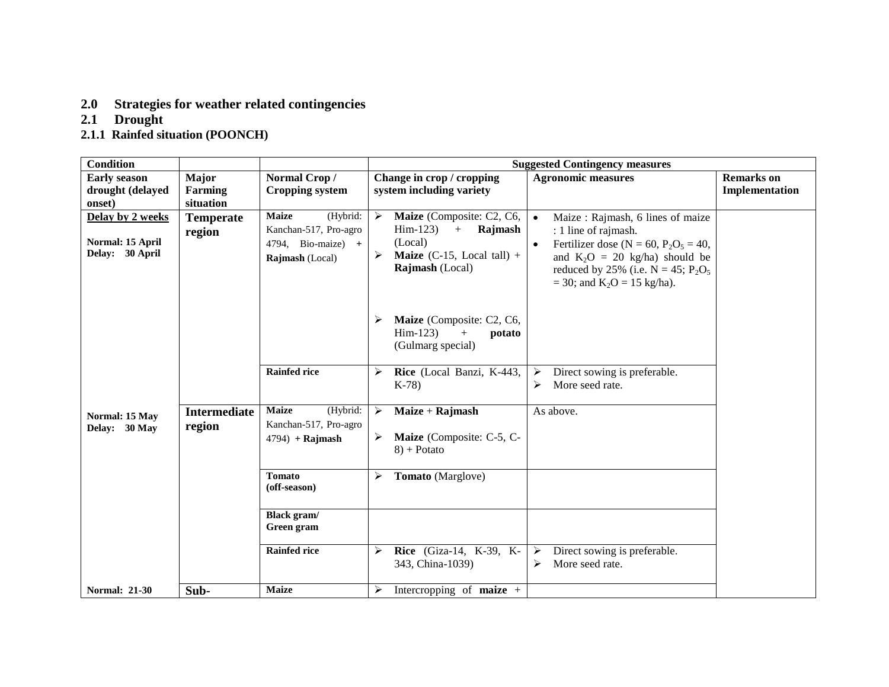### **2.0 Strategies for weather related contingencies**

### **2.1 Drought**

#### **2.1.1 Rainfed situation (POONCH)**

| <b>Condition</b>                                        |                               |                                                                                              | <b>Suggested Contingency measures</b> |                                                                                                                                    |                                                                                                                                                                                                                                                             |                                     |
|---------------------------------------------------------|-------------------------------|----------------------------------------------------------------------------------------------|---------------------------------------|------------------------------------------------------------------------------------------------------------------------------------|-------------------------------------------------------------------------------------------------------------------------------------------------------------------------------------------------------------------------------------------------------------|-------------------------------------|
| <b>Early season</b><br>drought (delayed                 | <b>Major</b><br>Farming       | Normal Crop/<br><b>Cropping system</b>                                                       |                                       | Change in crop / cropping<br>system including variety                                                                              | <b>Agronomic measures</b>                                                                                                                                                                                                                                   | <b>Remarks</b> on<br>Implementation |
| onset)                                                  | situation                     |                                                                                              |                                       |                                                                                                                                    |                                                                                                                                                                                                                                                             |                                     |
| Delay by 2 weeks<br>Normal: 15 April<br>Delay: 30 April | <b>Temperate</b><br>region    | <b>Maize</b><br>(Hybrid:<br>Kanchan-517, Pro-agro<br>4794, Bio-maize) $+$<br>Rajmash (Local) | $\blacktriangleright$<br>➤            | Maize (Composite: C2, C6,<br>$\text{Him-123}$<br>Rajmash<br>$+$<br>(Local)<br><b>Maize</b> (C-15, Local tall) +<br>Rajmash (Local) | $\bullet$<br>Maize: Rajmash, 6 lines of maize<br>: 1 line of rajmash.<br>Fertilizer dose (N = 60, $P_2O_5 = 40$ ,<br>$\bullet$<br>and $K_2O = 20$ kg/ha) should be<br>reduced by 25% (i.e. $N = 45$ ; $P_2O_5$<br>$=$ 30; and K <sub>2</sub> O = 15 kg/ha). |                                     |
|                                                         |                               |                                                                                              |                                       | Maize (Composite: C2, C6,<br>$\text{Him-123}$<br>$+$<br>potato<br>(Gulmarg special)                                                |                                                                                                                                                                                                                                                             |                                     |
|                                                         |                               | <b>Rainfed rice</b>                                                                          | ⋗                                     | Rice (Local Banzi, K-443,<br>$K-78$                                                                                                | ➤<br>Direct sowing is preferable.<br>More seed rate.<br>➤                                                                                                                                                                                                   |                                     |
| Normal: 15 May<br>Delay: 30 May                         | <b>Intermediate</b><br>region | <b>Maize</b><br>(Hybrid:<br>Kanchan-517, Pro-agro<br>$4794$ ) + Rajmash                      | $\blacktriangleright$<br>➤            | Maize + Rajmash<br>Maize (Composite: C-5, C-<br>$8$ ) + Potato                                                                     | As above.                                                                                                                                                                                                                                                   |                                     |
|                                                         |                               | <b>Tomato</b><br>(off-season)                                                                | ⋗                                     | Tomato (Marglove)                                                                                                                  |                                                                                                                                                                                                                                                             |                                     |
|                                                         |                               | <b>Black</b> gram/<br>Green gram                                                             |                                       |                                                                                                                                    |                                                                                                                                                                                                                                                             |                                     |
|                                                         |                               | <b>Rainfed rice</b>                                                                          | ≻                                     | Rice (Giza-14, K-39, K-<br>343, China-1039)                                                                                        | $\blacktriangleright$<br>Direct sowing is preferable.<br>More seed rate.<br>≻                                                                                                                                                                               |                                     |
| <b>Normal: 21-30</b>                                    | Sub-                          | <b>Maize</b>                                                                                 | ➤                                     | Intercropping of <b>maize</b> $+$                                                                                                  |                                                                                                                                                                                                                                                             |                                     |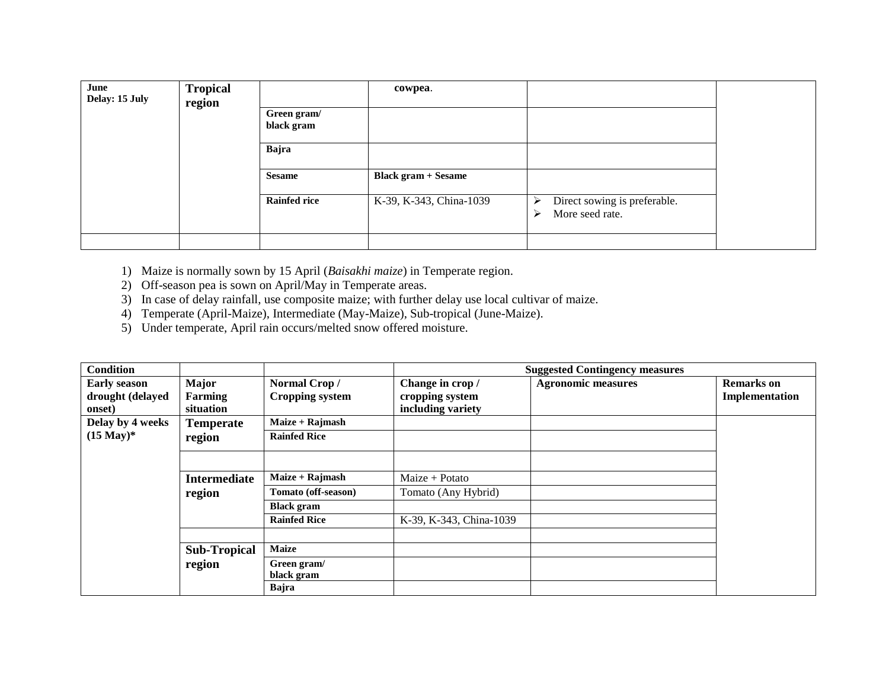| June<br>Delay: 15 July | <b>Tropical</b><br>region |                     | cowpea.                    |                                   |  |
|------------------------|---------------------------|---------------------|----------------------------|-----------------------------------|--|
|                        |                           | Green gram/         |                            |                                   |  |
|                        |                           | black gram          |                            |                                   |  |
|                        |                           | Bajra               |                            |                                   |  |
|                        |                           | <b>Sesame</b>       | <b>Black gram + Sesame</b> |                                   |  |
|                        |                           | <b>Rainfed rice</b> | K-39, K-343, China-1039    | Direct sowing is preferable.<br>⋗ |  |
|                        |                           |                     |                            | More seed rate.<br>↘              |  |
|                        |                           |                     |                            |                                   |  |

- 1) Maize is normally sown by 15 April (*Baisakhi maize*) in Temperate region.
- 2) Off-season pea is sown on April/May in Temperate areas.
- 3) In case of delay rainfall, use composite maize; with further delay use local cultivar of maize.
- 4) Temperate (April-Maize), Intermediate (May-Maize), Sub-tropical (June-Maize).
- 5) Under temperate, April rain occurs/melted snow offered moisture.

| <b>Condition</b>     |                     |                     |                         | <b>Suggested Contingency measures</b> |                   |
|----------------------|---------------------|---------------------|-------------------------|---------------------------------------|-------------------|
| <b>Early season</b>  | <b>Major</b>        | Normal Crop/        | Change in crop /        | <b>Agronomic measures</b>             | <b>Remarks</b> on |
| drought (delayed     | Farming             | Cropping system     | cropping system         |                                       | Implementation    |
| onset)               | situation           |                     | including variety       |                                       |                   |
| Delay by 4 weeks     | <b>Temperate</b>    | $Maize + Rajmask$   |                         |                                       |                   |
| $(15 \text{ May})^*$ | region              | <b>Rainfed Rice</b> |                         |                                       |                   |
|                      |                     |                     |                         |                                       |                   |
|                      | <b>Intermediate</b> | Maize + Rajmash     | $Maize + Potato$        |                                       |                   |
|                      | region              | Tomato (off-season) | Tomato (Any Hybrid)     |                                       |                   |
|                      |                     | <b>Black gram</b>   |                         |                                       |                   |
|                      |                     | <b>Rainfed Rice</b> | K-39, K-343, China-1039 |                                       |                   |
|                      |                     |                     |                         |                                       |                   |
|                      | <b>Sub-Tropical</b> | <b>Maize</b>        |                         |                                       |                   |
|                      | region              | Green gram/         |                         |                                       |                   |
|                      |                     | black gram          |                         |                                       |                   |
|                      |                     | Bajra               |                         |                                       |                   |